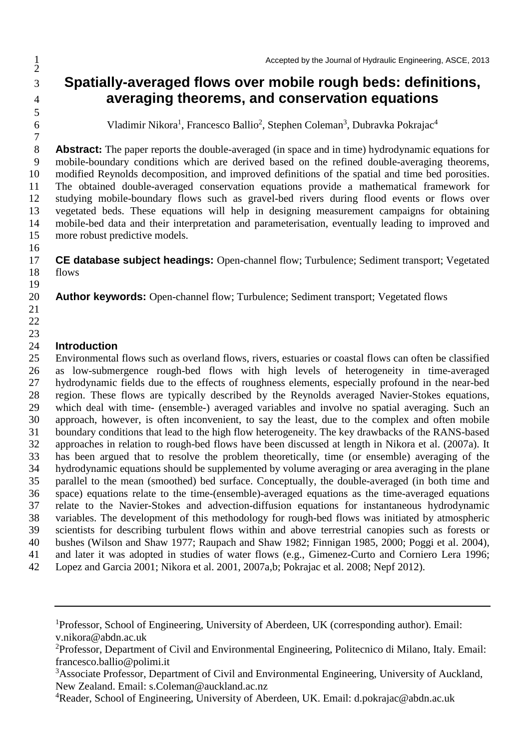$\frac{1}{2}$ 

 $\frac{5}{6}$ 

7

22

## 3 **Spatially-averaged flows over mobile rough beds: definitions,**  4 **averaging theorems, and conservation equations**

Vladimir Nikora1 , Francesco Ballio2 , Stephen Coleman3 , Dubravka Pokrajac4 6

8 **Abstract:** The paper reports the double-averaged (in space and in time) hydrodynamic equations for mobile-boundary conditions which are derived based on the refined double-averaging theorems. 9 mobile-boundary conditions which are derived based on the refined double-averaging theorems,<br>10 modified Revnolds decomposition, and improved definitions of the spatial and time bed porosities. modified Reynolds decomposition, and improved definitions of the spatial and time bed porosities. 11 The obtained double-averaged conservation equations provide a mathematical framework for 12 studying mobile-boundary flows such as gravel-bed rivers during flood events or flows over 13 vegetated beds. These equations will help in designing measurement campaigns for obtaining<br>14 mobile-bed data and their interpretation and parameterisation, eventually leading to improved and 14 mobile-bed data and their interpretation and parameterisation, eventually leading to improved and 15 more robust predictive models. more robust predictive models.

 $\frac{16}{17}$ 17 **CE database subject headings:** Open-channel flow; Turbulence; Sediment transport; Vegetated flows

 $\frac{19}{20}$ Author keywords: Open-channel flow; Turbulence; Sediment transport; Vegetated flows 21

## $\frac{23}{24}$ 24 **Introduction**<br>25 **Environmental**

25 Environmental flows such as overland flows, rivers, estuaries or coastal flows can often be classified 26 as low-submergence rough-bed flows with high levels of heterogeneity in time-averaged 27 hydrodynamic fields due to the effects of roughness elements, especially profound in the near-bed 28 region. These flows are typically described by the Reynolds averaged Navier-Stokes equations,<br>29 which deal with time- (ensemble-) averaged variables and involve no spatial averaging. Such an which deal with time- (ensemble-) averaged variables and involve no spatial averaging. Such an 30 approach, however, is often inconvenient, to say the least, due to the complex and often mobile 31 boundary conditions that lead to the high flow heterogeneity. The key drawbacks of the RANS-based<br>32 approaches in relation to rough-bed flows have been discussed at length in Nikora et al. (2007a). It 32 approaches in relation to rough-bed flows have been discussed at length in Nikora et al. (2007a). It<br>33 has been argued that to resolve the problem theoretically, time (or ensemble) averaging of the 33 has been argued that to resolve the problem theoretically, time (or ensemble) averaging of the hydrodynamic equations should be supplemented by volume averaging or area averaging in the plane hydrodynamic equations should be supplemented by volume averaging or area averaging in the plane 35 parallel to the mean (smoothed) bed surface. Conceptually, the double-averaged (in both time and 36 space) equations relate to the time-(ensemble)-averaged equations as the time-averaged equations relate to the Navier-Stokes and advection-diffusion equations for instantaneous hydrodynamic 38 variables. The development of this methodology for rough-bed flows was initiated by atmospheric 39 scientists for describing turbulent flows within and above terrestrial canopies such as forests or 40 bushes (Wilson and Shaw 1977; Raupach and Shaw 1982; Finnigan 1985, 2000; Poggi et al. 2004), 41 and later it was adopted in studies of water flows (e.g., Gimenez-Curto and Corniero Lera 1996;<br>42 Lopez and Garcia 2001: Nikora et al. 2001, 2007a.b: Pokraiac et al. 2008: Nepf 2012). 42 Lopez and Garcia 2001; Nikora et al. 2001, 2007a,b; Pokrajac et al. 2008; Nepf 2012).

<sup>&</sup>lt;sup>1</sup>Professor, School of Engineering, University of Aberdeen, UK (corresponding author). Email: v.nikora@abdn.ac.uk

<sup>&</sup>lt;sup>2</sup>Professor, Department of Civil and Environmental Engineering, Politecnico di Milano, Italy. Email: francesco.ballio@polimi.it

<sup>&</sup>lt;sup>3</sup> Associate Professor, Department of Civil and Environmental Engineering, University of Auckland, New Zealand. Email: s.Coleman@auckland.ac.nz

<sup>&</sup>lt;sup>4</sup>Reader, School of Engineering, University of Aberdeen, UK. Email: d.pokrajac@abdn.ac.uk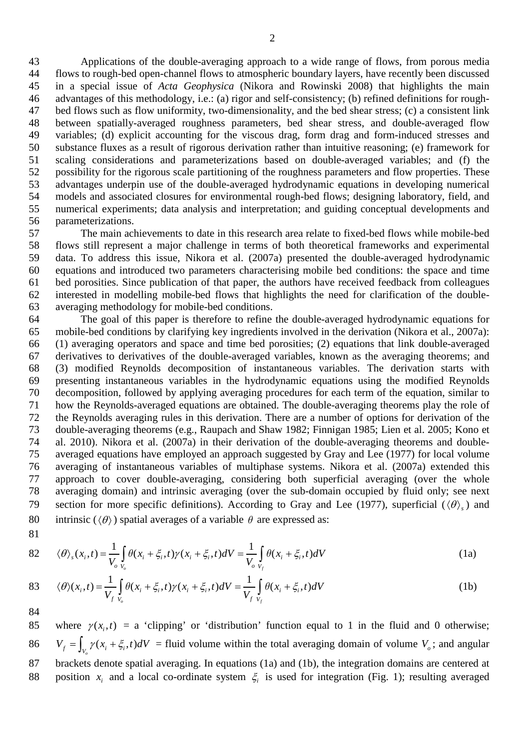43 Applications of the double-averaging approach to a wide range of flows, from porous media<br>44 flows to rough-bed open-channel flows to atmospheric boundary layers, have recently been discussed 44 flows to rough-bed open-channel flows to atmospheric boundary layers, have recently been discussed<br>45 in a special issue of *Acta Geophysica* (Nikora and Rowinski 2008) that highlights the main 45 in a special issue of *Acta Geophysica* (Nikora and Rowinski 2008) that highlights the main 46 advantages of this methodology, i.e.: (a) rigor and self-consistency; (b) refined definitions for rough-47 bed flows such as flow uniformity, two-dimensionality, and the bed shear stress; (c) a consistent link<br>48 between spatially-averaged roughness parameters, bed shear stress, and double-averaged flow 48 between spatially-averaged roughness parameters, bed shear stress, and double-averaged flow<br>49 variables: (d) explicit accounting for the viscous drag, form drag and form-induced stresses and variables; (d) explicit accounting for the viscous drag, form drag and form-induced stresses and 50 substance fluxes as a result of rigorous derivation rather than intuitive reasoning; (e) framework for 51 scaling considerations and parameterizations based on double-averaged variables; and (f) the possibility for the rigorous scale partitioning of the roughness parameters and flow properties. These possibility for the rigorous scale partitioning of the roughness parameters and flow properties. These 53 advantages underpin use of the double-averaged hydrodynamic equations in developing numerical<br>54 models and associated closures for environmental rough-bed flows; designing laboratory, field, and models and associated closures for environmental rough-bed flows; designing laboratory, field, and 55 numerical experiments; data analysis and interpretation; and guiding conceptual developments and 56 parameterizations.<br>57 The main acts

 The main achievements to date in this research area relate to fixed-bed flows while mobile-bed 58 flows still represent a major challenge in terms of both theoretical frameworks and experimental<br>59 data. To address this issue, Nikora et al. (2007a) presented the double-averaged hydrodynamic data. To address this issue, Nikora et al. (2007a) presented the double-averaged hydrodynamic equations and introduced two parameters characterising mobile bed conditions: the space and time bed porosities. Since publication of that paper, the authors have received feedback from colleagues interested in modelling mobile-bed flows that highlights the need for clarification of the double-averaging methodology for mobile-bed conditions.

 The goal of this paper is therefore to refine the double-averaged hydrodynamic equations for mobile-bed conditions by clarifying key ingredients involved in the derivation (Nikora et al., 2007a): (1) averaging operators and space and time bed porosities; (2) equations that link double-averaged derivatives to derivatives of the double-averaged variables, known as the averaging theorems; and (3) modified Reynolds decomposition of instantaneous variables. The derivation starts with presenting instantaneous variables in the hydrodynamic equations using the modified Reynolds decomposition, followed by applying averaging procedures for each term of the equation, similar to 71 how the Reynolds-averaged equations are obtained. The double-averaging theorems play the role of the Reynolds averaging rules in this derivation. There are a number of options for derivation of the the Reynolds averaging rules in this derivation. There are a number of options for derivation of the double-averaging theorems (e.g., Raupach and Shaw 1982; Finnigan 1985; Lien et al. 2005; Kono et al. 2010). Nikora et al. (2007a) in their derivation of the double-averaging theorems and doubleaveraged equations have employed an approach suggested by Gray and Lee (1977) for local volume averaging of instantaneous variables of multiphase systems. Nikora et al. (2007a) extended this approach to cover double-averaging, considering both superficial averaging (over the whole averaging domain) and intrinsic averaging (over the sub-domain occupied by fluid only; see next 79 section for more specific definitions). According to Gray and Lee (1977), superficial  $(\langle \theta \rangle_c)$  and 80 intrinsic ( $\langle \theta \rangle$ ) spatial averages of a variable  $\theta$  are expressed as:

81

82 
$$
\langle \theta \rangle_s(x_i, t) = \frac{1}{V_o} \int_{V_o} \theta(x_i + \xi_i, t) \gamma(x_i + \xi_i, t) dV = \frac{1}{V_o} \int_{V_f} \theta(x_i + \xi_i, t) dV
$$
(1a)

83 
$$
\langle \theta \rangle (x_i, t) = \frac{1}{V_f} \int_{V_o} \theta(x_i + \xi_i, t) \gamma(x_i + \xi_i, t) dV = \frac{1}{V_f} \int_{V_f} \theta(x_i + \xi_i, t) dV
$$
 (1b)

84

85 where  $\gamma(x_i, t) = a$  'clipping' or 'distribution' function equal to 1 in the fluid and 0 otherwise;  $y_f = \int_{V_o} \gamma(x_i + \xi_i, t) dV$  = fluid volume within the total averaging domain of volume  $V_o$ ; and angular 87 brackets denote spatial averaging. In equations (1a) and (1b), the integration domains are centered at 88 position  $x_i$  and a local co-ordinate system  $\xi$  is used for integration (Fig. 1); resulting averaged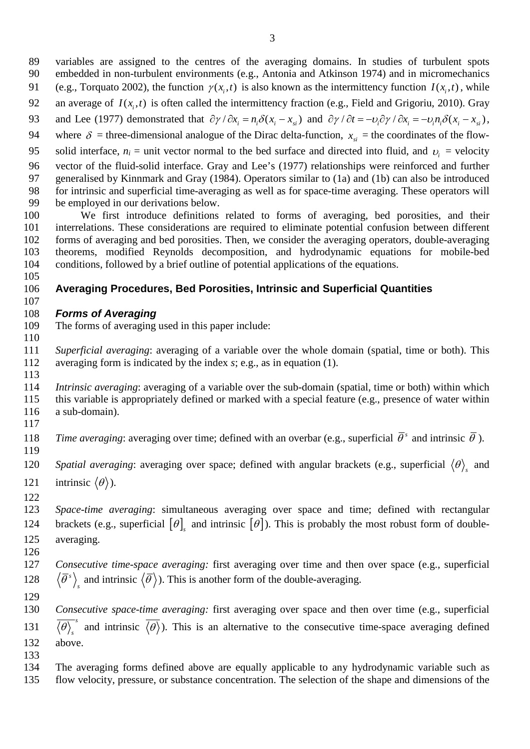- 89 variables are assigned to the centres of the averaging domains. In studies of turbulent spots<br>90 embedded in non-turbulent environments (e.g., Antonia and Atkinson 1974) and in micromechanics embedded in non-turbulent environments (e.g., Antonia and Atkinson 1974) and in micromechanics
- (e.g., Torquato 2002), the function  $\gamma(x, t)$  is also known as the intermittency function  $I(x, t)$ , while
- 92 an average of  $I(x, t)$  is often called the intermittency fraction (e.g., Field and Grigoriu, 2010). Gray
- 93 and Lee (1977) demonstrated that  $\partial \gamma / \partial x_i = n_i \delta(x_i x_{si})$  and  $\partial \gamma / \partial t = -v_i \partial \gamma / \partial x_i = -v_i n_i \delta(x_i x_{si})$ ,
- 94 where  $\delta$  = three-dimensional analogue of the Dirac delta-function,  $x_{si}$  = the coordinates of the flow-
- 95 solid interface,  $n_i$  = unit vector normal to the bed surface and directed into fluid, and  $v_i$  = velocity
- 96 vector of the fluid-solid interface. Gray and Lee's (1977) relationships were reinforced and further
- 97 generalised by Kinnmark and Gray (1984). Operators similar to (1a) and (1b) can also be introduced<br>98 for intrinsic and superficial time-averaging as well as for space-time averaging. These operators will for intrinsic and superficial time-averaging as well as for space-time averaging. These operators will 99 be employed in our derivations below.
- 100 We first introduce definitions related to forms of averaging, bed porosities, and their 101 interrelations. These considerations are required to eliminate potential confusion between different 102 forms of averaging and bed porosities. Then, we consider the averaging operators, double-averaging 102 forms of averaging and bed porosities. Then, we consider the averaging operators, double-averaging<br>103 theorems, modified Revnolds decomposition, and hydrodynamic equations for mobile-bed 103 theorems, modified Reynolds decomposition, and hydrodynamic equations for mobile-bed 104 conditions, followed by a brief outline of potential applications of the equations.

### 105 106 **Averaging Procedures, Bed Porosities, Intrinsic and Superficial Quantities**

107

# 108 *Forms of Averaging*

- The forms of averaging used in this paper include:
- $\frac{110}{111}$ *Superficial averaging*: averaging of a variable over the whole domain (spatial, time or both). This 112 averaging form is indicated by the index *s*; e.g., as in equation (1).
- 113

114 *Intrinsic averaging*: averaging of a variable over the sub-domain (spatial, time or both) within which 115 this variable is appropriately defined or marked with a special feature (e.g., presence of water within 116 a sub-domain).

- 117
- *Time averaging*: averaging over time; defined with an overbar (e.g., superficial  $\bar{\theta}^s$  and intrinsic  $\bar{\theta}$ ). 119
- *Spatial averaging*: averaging over space; defined with angular brackets (e.g., superficial  $\langle \theta \rangle$ , and
- 121 intrinsic  $\langle \theta \rangle$ ).
- 122<br>123 Space-time averaging: simultaneous averaging over space and time; defined with rectangular 124 brackets (e.g., superficial  $[\theta]$ , and intrinsic  $[\theta]$ ). This is probably the most robust form of double-125 averaging. 126
- 127 *Consecutive time-space averaging:* first averaging over time and then over space (e.g., superficial 128  $\langle \overline{\theta}^s \rangle_s$  and intrinsic  $\langle \overline{\theta} \rangle$ ). This is another form of the double-averaging.
- 129

- 130 *Consecutive space-time averaging:* first averaging over space and then over time (e.g., superficial 131  $\langle \overline{\theta} \rangle_s^s$  and intrinsic  $\langle \overline{\theta} \rangle$ ). This is an alternative to the consecutive time-space averaging defined 132 above.
- 134 The averaging forms defined above are equally applicable to any hydrodynamic variable such as 135 flow velocity, pressure, or substance concentration. The selection of the shape and dimensions of the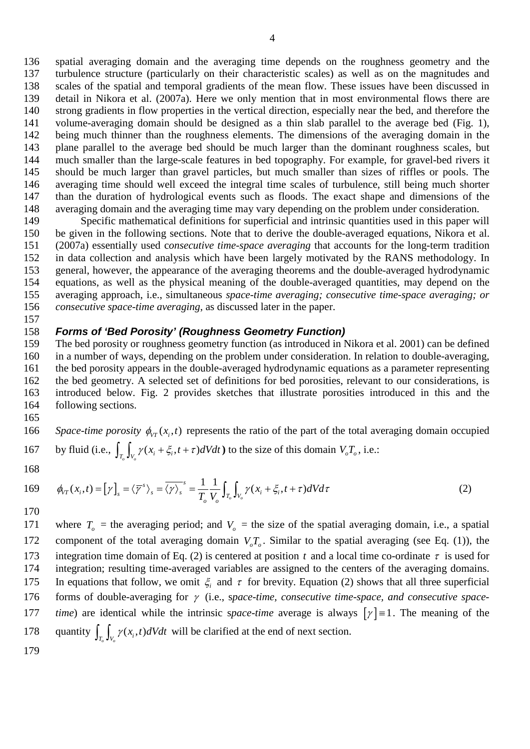136 spatial averaging domain and the averaging time depends on the roughness geometry and the turbulence structure (particularly on their characteristic scales) as well as on the magnitudes and 137 turbulence structure (particularly on their characteristic scales) as well as on the magnitudes and scales of the spatial and temporal gradients of the mean flow. These issues have been discussed in 138 scales of the spatial and temporal gradients of the mean flow. These issues have been discussed in detail in Nikora et al. (2007a). Here we only mention that in most environmental flows there are detail in Nikora et al. (2007a). Here we only mention that in most environmental flows there are 140 strong gradients in flow properties in the vertical direction, especially near the bed, and therefore the volume-averaging domain should be designed as a thin slab parallel to the average bed (Fig. 1). 141 volume-averaging domain should be designed as a thin slab parallel to the average bed (Fig. 1),<br>142 being much thinner than the roughness elements. The dimensions of the averaging domain in the being much thinner than the roughness elements. The dimensions of the averaging domain in the 143 plane parallel to the average bed should be much larger than the dominant roughness scales, but 144 much smaller than the large-scale features in bed topography. For example, for gravel-bed rivers it should be much larger than gravel particles, but much smaller than sizes of riffles or pools. The should be much larger than gravel particles, but much smaller than sizes of riffles or pools. The 146 averaging time should well exceed the integral time scales of turbulence, still being much shorter than the duration of hydrological events such as floods. The exact shape and dimensions of the than the duration of hydrological events such as floods. The exact shape and dimensions of the 148 averaging domain and the averaging time may vary depending on the problem under consideration.

149 Specific mathematical definitions for superficial and intrinsic quantities used in this paper will 150 be given in the following sections. Note that to derive the double-averaged equations, Nikora et al. 151 (2007a) essentially used c*onsecutive time-space averaging* that accounts for the long-term tradition 152 in data collection and analysis which have been largely motivated by the RANS methodology. In general, however, the appearance of the averaging theorems and the double-averaged hydrodynamic general, however, the appearance of the averaging theorems and the double-averaged hydrodynamic 154 equations, as well as the physical meaning of the double-averaged quantities, may depend on the averaging approach, i.e., simultaneous *space-time averaging; consecutive time-space averaging; or* 155 averaging approach, i.e., simultaneous *space-time averaging; consecutive time-space averaging; or*  156 *consecutive space-time averaging*, as discussed later in the paper. 157

## **158** *Forms of 'Bed Porosity' (Roughness Geometry Function)*<br>159 The bed porosity or roughness geometry function (as introduced in 1)

159 The bed porosity or roughness geometry function (as introduced in Nikora et al. 2001) can be defined<br>160 in a number of ways, depending on the problem under consideration. In relation to double-averaging, in a number of ways, depending on the problem under consideration. In relation to double-averaging, the bed porosity appears in the double-averaged hydrodynamic equations as a parameter representing the bed geometry. A selected set of definitions for bed porosities, relevant to our considerations, is introduced below. Fig. 2 provides sketches that illustrate porosities introduced in this and the following sections.

*Space-time porosity*  $\phi_{\nu}$  ( $x_i$ , t) represents the ratio of the part of the total averaging domain occupied 167 by fluid (i.e.,  $\int_{T_o} \int_{V_o} \gamma(x_i + \xi_i, t + \tau) dV dt$ ) to the size of this domain  $V_o T_o$ , i.e.:

$$
168 \\
$$

165

169 
$$
\phi_{\nu}(\mathbf{x}_i, t) = [\gamma]_s = \langle \overline{\gamma}^s \rangle_s = \overline{\langle \gamma \rangle_s}^s = \frac{1}{T_o} \frac{1}{V_o} \int_{T_o} \int_{V_o} \gamma(x_i + \xi_i, t + \tau) dV d\tau
$$
\n(2)

170

171 where  $T<sub>o</sub>$  = the averaging period; and  $V<sub>o</sub>$  = the size of the spatial averaging domain, i.e., a spatial 172 component of the total averaging domain  $V_o T_o$ . Similar to the spatial averaging (see Eq. (1)), the 173 integration time domain of Eq. (2) is centered at position *t* and a local time co-ordinate  $\tau$  is used for integration; resulting time-averaged variables are assigned to the centers of the averaging domains. integration; resulting time-averaged variables are assigned to the centers of the averaging domains. In equations that follow, we omit  $\xi$  and τ for brevity. Equation (2) shows that all three superficial 176 forms of double-averaging for <sup>γ</sup> (i.e., s*pace-time, consecutive time-space, and consecutive space-*177 *time*) are identical while the intrinsic space-time average is always  $[\gamma] = 1$ . The meaning of the 178 quantity  $\int_{T_o} \int_{V_o} \gamma(x_i, t) dV dt$  will be clarified at the end of next section.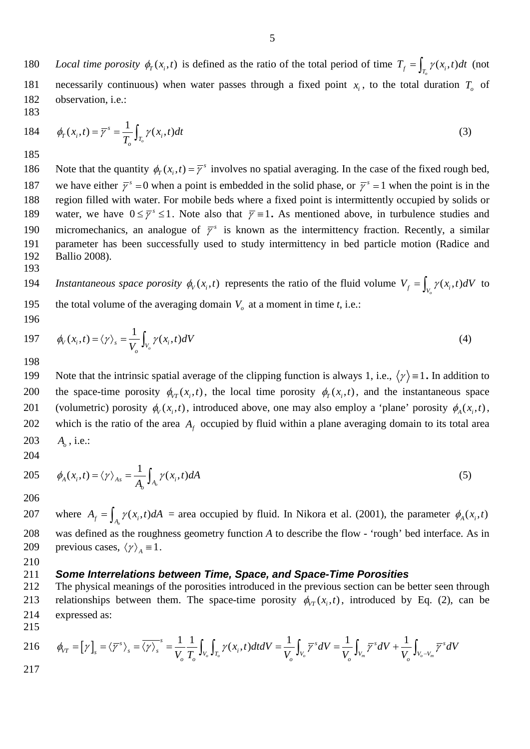*I80 Local time porosity*  $\phi_T(x_i, t)$  is defined as the ratio of the total period of time  $T_f = \int_{T_o} \gamma(x_i, t) dt$  (not 181 necessarily continuous) when water passes through a fixed point  $x_i$ , to the total duration  $T_o$  of 182 observation, i.e.:

183

184 
$$
\phi_T(x_i, t) = \overline{\gamma}^s = \frac{1}{T_o} \int_{T_o} \gamma(x_i, t) dt
$$
\n(3)

185

186 Note that the quantity  $\phi_T(x_i, t) = \overline{\gamma}^s$  involves no spatial averaging. In the case of the fixed rough bed, 187 we have either  $\bar{\gamma}^s = 0$  when a point is embedded in the solid phase, or  $\bar{\gamma}^s = 1$  when the point is in the 188 region filled with water. For mobile beds where a fixed point is intermittently occupied by solids or 189 water, we have  $0 \le \bar{\gamma}^s \le 1$ . Note also that  $\bar{\gamma} = 1$ . As mentioned above, in turbulence studies and 190 micromechanics, an analogue of  $\bar{y}^s$  is known as the intermittency fraction. Recently, a similar 191 parameter has been successfully used to study intermittency in bed particle motion (Radice and 192 Ballio 2008). 193

*Instantaneous space porosity*  $\phi_v(x_i, t)$  represents the ratio of the fluid volume  $V_f = \int_{V_o} \gamma(x_i, t) dV$  to the total volume of the averaging domain  $V<sub>o</sub>$  at a moment in time *t*, i.e.:

196

197 
$$
\phi_V(x_i, t) = \langle \gamma \rangle_s = \frac{1}{V_o} \int_{V_o} \gamma(x_i, t) dV
$$
 (4)

198

199 Note that the intrinsic spatial average of the clipping function is always 1, i.e.,  $\langle \gamma \rangle = 1$ . In addition to 200 the space-time porosity  $\phi_T(x_i, t)$ , the local time porosity  $\phi_T(x_i, t)$ , and the instantaneous space 201 (volumetric) porosity  $\phi_v(x_i, t)$ , introduced above, one may also employ a 'plane' porosity  $\phi_A(x_i, t)$ , 202 which is the ratio of the area  $A_f$  occupied by fluid within a plane averaging domain to its total area 203 *A<sub>o</sub>*, i.e.:

204

205 
$$
\phi_A(x_i, t) = \langle \gamma \rangle_{As} = \frac{1}{A_o} \int_{A_o} \gamma(x_i, t) dA
$$
 (5)

206

210

207 where  $A_f = \int_{A_o} \gamma(x_i, t) dA$  = area occupied by fluid. In Nikora et al. (2001), the parameter  $\phi_A(x_i, t)$ 208 was defined as the roughness geometry function *A* to describe the flow - 'rough' bed interface. As in 209 previous cases,  $\langle \gamma \rangle_A = 1$ .

#### 211 *Some Interrelations between Time, Space, and Space-Time Porosities*

212 The physical meanings of the porosities introduced in the previous section can be better seen through relationships between them. The space-time porosity  $\phi_{vr}(x_i, t)$ , introduced by Eq. (2), can be 214 expressed as: 215

$$
216 \quad \phi_{\scriptscriptstyle VT} = \left[\gamma\right]_s = \left\langle \overline{\gamma}^s \right\rangle_s = \overline{\left\langle \gamma \right\rangle_s}^s = \frac{1}{V_o} \frac{1}{T_o} \int_{V_o} \int_{T_o} \gamma(x_i, t) dt dV = \frac{1}{V_o} \int_{V_o} \overline{\gamma}^s dV = \frac{1}{V_o} \int_{V_m} \overline{\gamma}^s dV + \frac{1}{V_o} \int_{V_o - V_m} \overline{\gamma}^s dV
$$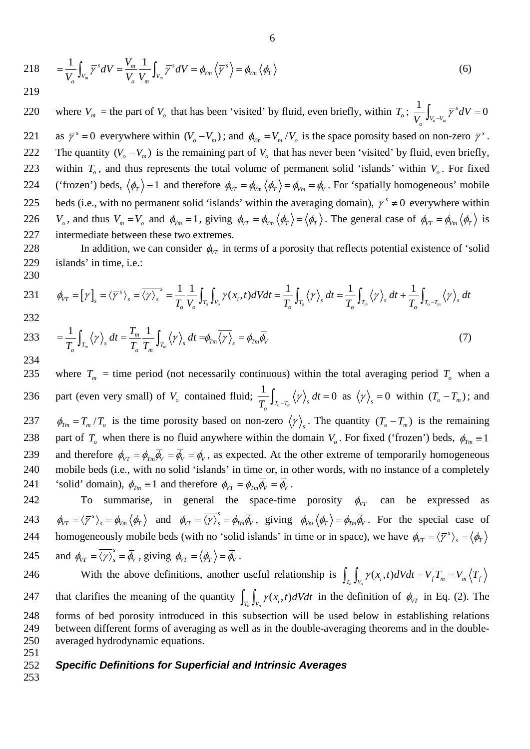$$
218 = \frac{1}{V_o} \int_{V_m} \overline{\gamma}^s dV = \frac{V_m}{V_o} \frac{1}{V_m} \int_{V_m} \overline{\gamma}^s dV = \phi_{V_m} \langle \overline{\gamma}^s \rangle = \phi_{V_m} \langle \phi_r \rangle
$$
\n
$$
219 \tag{6}
$$

where  $V_m$  = the part of  $V_o$  that has been 'visited' by fluid, even briefly, within  $T_o$ ;  $\frac{1}{V_o} \int_{V_o - V_m} \overline{\gamma}^s dV = 0$ *s*  $\int_{\rho}^{V}$  J $V_o$  -V 220 where  $V_m$  = the part of  $V_o$  that has been 'visited' by fluid, even briefly, within  $T_o$ ;  $\frac{1}{V_o} \int_{V_o - V_m} \overline{Y}^s dV =$ 

221 as  $\overline{\gamma}^s = 0$  everywhere within  $(V_o - V_m)$ ; and  $\phi_{vm} = V_m / V_o$  is the space porosity based on non-zero  $\overline{\gamma}^s$ . The quantity  $(V_o - V_m)$  is the remaining part of  $V_o$  that has never been 'visited' by fluid, even briefly, 223 within  $T<sub>o</sub>$ , and thus represents the total volume of permanent solid 'islands' within  $V<sub>o</sub>$ . For fixed 224 ('frozen') beds,  $\langle \phi_T \rangle = 1$  and therefore  $\phi_{VT} = \phi_{Vm} \langle \phi_T \rangle = \phi_{Vm} = \phi_v$ . For 'spatially homogeneous' mobile beds (i.e., with no permanent solid 'islands' within the averaging domain),  $\bar{y}^s \neq 0$  everywhere within 226 *V<sub>o</sub>*, and thus  $V_m = V_o$  and  $\phi_{Vm} = 1$ , giving  $\phi_{VT} = \phi_{Vm} \langle \phi_T \rangle = \langle \phi_T \rangle$ . The general case of  $\phi_{VT} = \phi_{Vm} \langle \phi_T \rangle$  is 227 intermediate between these two extremes.

228 In addition, we can consider  $\phi_{VT}$  in terms of a porosity that reflects potential existence of 'solid 229 islands' in time, i.e.: 230

231 
$$
\phi_{VT} = [\gamma]_s = \langle \overline{\gamma}^s \rangle_s = \overline{\langle \gamma \rangle_s}^s = \frac{1}{T_o} \frac{1}{V_o} \int_{T_o} \int_{V_o} \gamma(x_i, t) dV dt = \frac{1}{T_o} \int_{T_o} \langle \gamma \rangle_s dt = \frac{1}{T_o} \int_{T_m} \langle \gamma \rangle_s dt + \frac{1}{T_o} \int_{T_o - T_m} \langle \gamma \rangle_s dt
$$

232

$$
233 = \frac{1}{T_o} \int_{T_m} \langle \gamma \rangle_s dt = \frac{T_m}{T_o} \frac{1}{T_m} \int_{T_m} \langle \gamma \rangle_s dt = \phi_{T_m} \overline{\langle \gamma \rangle}_s = \phi_{T_m} \overline{\phi}_v
$$
\n(7)

234

235 where  $T_m$  = time period (not necessarily continuous) within the total averaging period  $T_o$  when a 236 part (even very small) of *V<sub>o</sub>* contained fluid;  $\frac{1}{T_o} \int_{T_o - T_m} \langle \gamma \rangle_s dt = 0$  as  $\langle \gamma \rangle_s = 0$  within  $(T_o - T_m)$ ; and 237  $\phi_{T_m} = T_m / T_o$  is the time porosity based on non-zero  $\langle \gamma \rangle$ . The quantity  $(T_o - T_m)$  is the remaining 238 part of *T<sub>o</sub>* when there is no fluid anywhere within the domain *V<sub>o</sub>*. For fixed ('frozen') beds,  $\phi_{Tm} \equiv 1$ 239 and therefore  $\phi_{VT} = \phi_{Tm} \overline{\phi}_V = \overline{\phi}_V = \phi_V$ , as expected. At the other extreme of temporarily homogeneous 240 mobile beds (i.e., with no solid 'islands' in time or, in other words, with no instance of a completely 241 'solid' domain),  $\phi_{Tm} \equiv 1$  and therefore  $\phi_{VT} = \phi_{Tm} \overline{\phi}_V = \overline{\phi}_V$ .

242 To summarise, in general the space-time porosity  $\phi_{VT}$  can be expressed as 243  $\phi_{VT} = \langle \overline{\gamma}^s \rangle_s = \phi_{Vm} \langle \phi_r \rangle$  and  $\phi_{VT} = \overline{\langle \gamma \rangle}^s_s = \phi_{Tm} \overline{\phi}_v$ , giving  $\phi_{Vm} \langle \phi_r \rangle = \phi_{Tm} \overline{\phi}_v$ . For the special case of homogeneously mobile beds (with no 'solid islands' in time or in space), we have  $\phi_{VT} = \langle \overline{\gamma}^s \rangle_s = \langle \phi_T \rangle$ 245 and  $\phi_{VT} = \overline{\langle \gamma \rangle}_s^s = \overline{\phi}_v$ , giving  $\phi_{VT} = \langle \phi_T \rangle = \overline{\phi}_v$ .

With the above definitions, another useful relationship is  $\int_{T_o} \int_{V_o} \gamma(x_i, t) dV dt = \overline{V}_f T_m = V_m \langle T_f \rangle$ 246 that clarifies the meaning of the quantity  $\int_{T_o} \int_{V_o} \gamma(x_i, t) dV dt$  in the definition of  $\phi_{VT}$  in Eq. (2). The 248 forms of bed porosity introduced in this subsection will be used below in establishing relations 249 between different forms of averaging as well as in the double-averaging theorems and in the double-250 averaged hydrodynamic equations. 251

#### 252 *Specific Definitions for Superficial and Intrinsic Averages*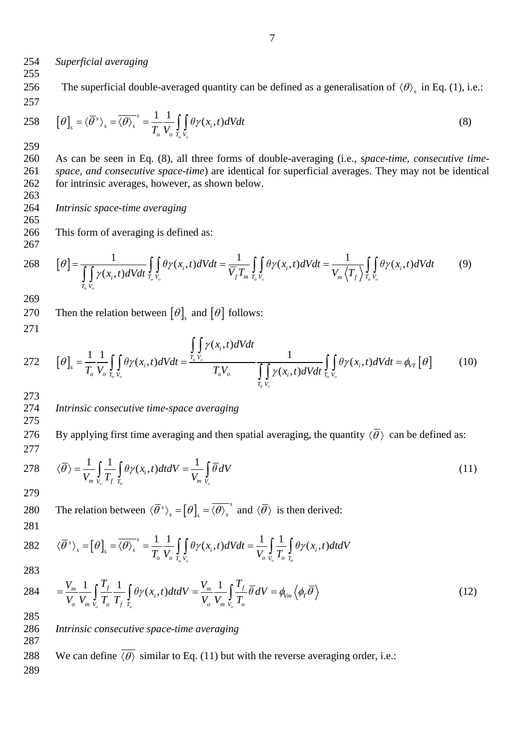#### 254 *Superficial averaging* 255

257

The superficial double-averaged quantity can be defined as a generalisation of  $\langle \theta \rangle$ , in Eq. (1), i.e.:

$$
258 \qquad \left[\theta\right]_s = \langle\overline{\theta}^s\rangle_s = \overline{\langle\theta\rangle_s}^s = \frac{1}{T_o} \frac{1}{V_o} \int_{T_o} \int_{T_o} \theta \gamma(x_i, t) dV dt \tag{8}
$$

259

As can be seen in Eq. (8), all three forms of double-averaging (i.e., space-time, consecutive time-261 *space, and consecutive space-time*) are identical for superficial averages. They may not be identical 262 for intrinsic averages, however, as shown below. for intrinsic averages, however, as shown below.

- 263
- 264 *Intrinsic space-time averaging* 265
- 266 This form of averaging is defined as: 267

268 
$$
\left[\theta\right] = \frac{1}{\iint\limits_{T_o V_o} \gamma(x_i, t) dV dt} \int\limits_{T_o V_o} \theta \gamma(x_i, t) dV dt = \frac{1}{\overline{V}_f T_m} \int\limits_{T_o V_o} \theta \gamma(x_i, t) dV dt = \frac{1}{V_m \langle T_f \rangle} \int\limits_{T_o V_o} \theta \gamma(x_i, t) dV dt \tag{9}
$$

269

270 Then the relation between  $[\theta]_s$  and  $[\theta]$  follows: 271

272 
$$
\left[\theta\right]_s = \frac{1}{T_o} \frac{1}{V_o} \int_{\mathcal{V}_o} \theta \gamma(x_i, t) dV dt = \frac{\int_{\mathcal{V}_o} \gamma(x_i, t) dV dt}{T_o V_o} \frac{1}{\int_{\mathcal{V}_o} \gamma(x_i, t) dV dt} \int_{\mathcal{V}_o} \theta \gamma(x_i, t) dV dt = \phi_{vr} \left[\theta\right]
$$
(10)

273

275

277

274 *Intrinsic consecutive time-space averaging*

276 By applying first time averaging and then spatial averaging, the quantity  $\langle \overline{\theta} \rangle$  can be defined as:

$$
\langle \overline{\theta} \rangle = \frac{1}{V_m} \int_{V_o} \frac{1}{T_f} \int_{T_o} \theta \gamma(x_i, t) dt dV = \frac{1}{V_m} \int_{V_o} \overline{\theta} dV
$$
\n(11)

279

280 The relation between  $\langle \overline{\theta}^s \rangle_s = [\theta]_s = \overline{\langle \theta \rangle_s}^s$  and  $\langle \overline{\theta} \rangle$  is then derived: 281

282 
$$
\langle \overline{\theta}^s \rangle_s = [\theta]_s = \overline{\langle \theta \rangle_s}^s = \frac{1}{T_o} \frac{1}{V_o} \iint_{T_o} \theta \gamma(x_i, t) dV dt = \frac{1}{V_o} \int_{V_o} \frac{1}{T_o} \int_{T_o} \theta \gamma(x_i, t) dt dV
$$

283

284 
$$
= \frac{V_m}{V_o} \frac{1}{V_m} \int_{V_o} \frac{T_f}{T_o} \frac{1}{T_f} \int_{T_o} \theta \gamma(x_i, t) dt dV = \frac{V_m}{V_o} \frac{1}{V_m} \int_{V_o} \frac{T_f}{T_o} \overline{\theta} dV = \phi_{V_m} \left\langle \phi_r \overline{\theta} \right\rangle
$$
(12)

285

286 *Intrinsic consecutive space-time averaging* 287

- 288 We can define  $\overline{\langle \theta \rangle}$  similar to Eq. (11) but with the reverse averaging order, i.e.:
- 289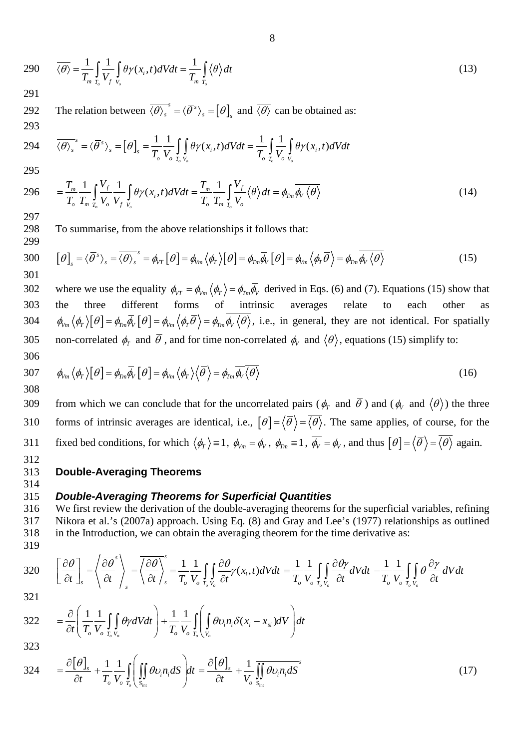$$
290 \qquad \overline{\langle \theta \rangle} = \frac{1}{T_m} \int_{T_o} \frac{1}{V_f} \int_{V_o} \theta \gamma(x_i, t) dV dt = \frac{1}{T_m} \int_{T_o} \langle \theta \rangle dt
$$
\n
$$
291 \qquad (13)
$$

292 The relation between  $\overline{\langle \theta \rangle_s}^s = \langle \overline{\theta}^s \rangle_s = [\theta]_s$  and  $\overline{\langle \theta \rangle}$  can be obtained as: 293

294 
$$
\overline{\langle \theta \rangle_s}^s = \langle \overline{\theta}^s \rangle_s = [\theta]_s = \frac{1}{T_o} \frac{1}{V_o} \iint_{T_o V_o} \theta \gamma(x_i, t) dV dt = \frac{1}{T_o} \int_{T_o} \frac{1}{V_o} \int_{V_o} \theta \gamma(x_i, t) dV dt
$$

295

299

$$
296 = \frac{T_m}{T_o} \frac{1}{T_m} \int_{T_o} \frac{V_f}{V_o} \frac{1}{V_f} \int_{V_o} \theta \gamma(x_i, t) dV dt = \frac{T_m}{T_o} \frac{1}{T_m} \int_{T_o} \frac{V_f}{V_o} \langle \theta \rangle dt = \phi_{T_m} \overline{\phi_V \langle \theta \rangle}
$$
(14)

298 To summarise, from the above relationships it follows that:

300 
$$
\left[\theta\right]_{s} = \langle\overline{\theta}^{s}\rangle_{s} = \overline{\langle\theta\rangle_{s}}^{s} = \phi_{vr}\left[\theta\right] = \phi_{v_{m}}\langle\phi_{r}\rangle\left[\theta\right] = \phi_{r_{m}}\overline{\phi}_{v}\left[\theta\right] = \phi_{v_{m}}\langle\phi_{r}\overline{\theta}\rangle = \phi_{r_{m}}\overline{\phi_{v}\langle\theta\rangle}
$$
(15)

302 where we use the equality  $\phi_{VT} = \phi_{\text{Vm}} \langle \phi_{T} \rangle = \phi_{\text{Vm}} \overline{\phi_{V}}$  derived in Eqs. (6) and (7). Equations (15) show that 303 the three different forms of intrinsic averages relate to each other as  $\partial \theta$   $\phi_{\mu\nu}$   $\langle \phi_r \rangle [\theta] = \phi_{rm} \bar{\phi}_r [\theta] = \phi_{\mu} \langle \phi_r \bar{\theta} \rangle = \phi_{rm} \bar{\phi}_r \langle \theta \rangle$ , i.e., in general, they are not identical. For spatially 305 non-correlated  $φ_τ$  and  $\bar{θ}$ , and for time non-correlated  $φ_τ$  and  $(θ)$ , equations (15) simplify to:

306

307 
$$
\phi_{V_m} \langle \phi_r \rangle [\theta] = \phi_{r_m} \overline{\phi}_V [\theta] = \phi_{V_m} \langle \phi_r \rangle \langle \overline{\theta} \rangle = \phi_{r_m} \overline{\phi_V} \overline{\langle \theta \rangle}
$$
(16)

from which we can conclude that for the uncorrelated pairs ( $\phi_T$  and  $\overline{\theta}$ ) and ( $\phi_V$  and  $\langle \theta \rangle$ ) the three 310 forms of intrinsic averages are identical, i.e.,  $[\theta] = \langle \overline{\theta} \rangle = \langle \overline{\theta} \rangle$ . The same applies, of course, for the fixed bed conditions, for which  $\langle \phi_r \rangle = 1$ ,  $\phi_{vm} = \phi_v$ ,  $\phi_{tm} = 1$ ,  $\overline{\phi_v} = \phi_v$ , and thus  $[\theta] = \langle \overline{\theta} \rangle = \langle \overline{\theta} \rangle$  again. 312

313 **Double-Averaging Theorems** 

#### 315 *Double-Averaging Theorems for Superficial Quantities*

 We first review the derivation of the double-averaging theorems for the superficial variables, refining Nikora et al.'s (2007a) approach. Using Eq. (8) and Gray and Lee's (1977) relationships as outlined in the Introduction, we can obtain the averaging theorem for the time derivative as: 319

$$
320 \qquad \left[\frac{\partial \theta}{\partial t}\right]_{s} = \left\langle \frac{\partial \theta}{\partial t}^{s} \right\rangle_{s} = \left\langle \frac{\partial \theta}{\partial t} \right\rangle_{s}^{s} = \frac{1}{T_{o}} \frac{1}{V_{o}} \int_{\tau_{o}} \int_{\tau_{o}} \frac{\partial \theta}{\partial t} \gamma(x_{i}, t) dV dt = \frac{1}{T_{o}} \frac{1}{V_{o}} \int_{\tau_{o}} \int_{\tau_{o}} \frac{\partial \theta \gamma}{\partial t} dV dt - \frac{1}{T_{o}} \frac{1}{V_{o}} \int_{\tau_{o}} \int_{\tau_{o}} \frac{\partial \gamma}{\partial t} dV dt
$$

<u>52</u>

314

$$
322 = \frac{\partial}{\partial t} \left( \frac{1}{T_o} \frac{1}{V_o} \int_{T_o} \int_{V_o} \theta \gamma dV dt \right) + \frac{1}{T_o} \frac{1}{V_o} \int_{V_o} \left( \int_{V_o} \theta v_i n_i \delta(x_i - x_{si}) dV \right) dt
$$

$$
324 = \frac{\partial [\theta]_s}{\partial t} + \frac{1}{T_o} \frac{1}{V_o} \iint_{\mathcal{S}_{int}} (\iint_{S_{int}} \theta v_i n_i dS) dt = \frac{\partial [\theta]_s}{\partial t} + \frac{1}{V_o} \frac{\iint \theta v_i n_i dS}{S_{int}}^s
$$
(17)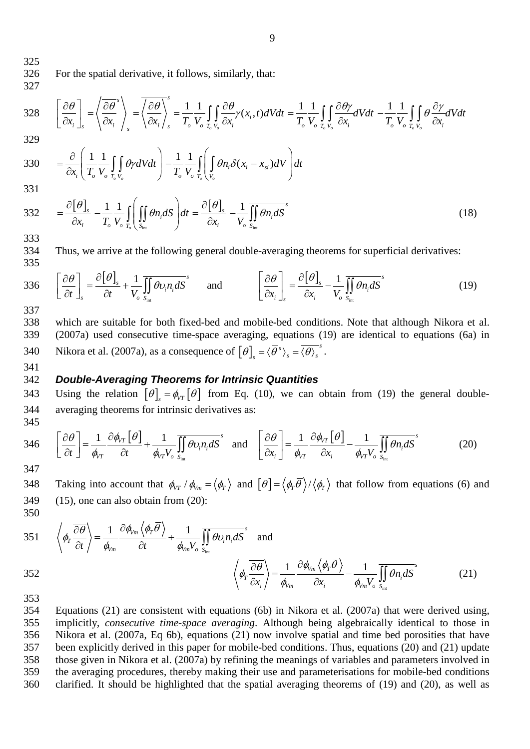325<br>326

327

For the spatial derivative, it follows, similarly, that:

$$
328 \qquad \left[\frac{\partial \theta}{\partial x_i}\right]_s = \left\langle \frac{\partial \theta}{\partial x_i} \right\rangle_s = \overline{\left\langle \frac{\partial \theta}{\partial x_i} \right\rangle_s} = \frac{1}{T_o} \frac{1}{V_o} \int_{\tau_o} \int_{\tau_o} \frac{\partial \theta}{\partial x_i} \gamma(x_i, t) dV dt = \frac{1}{T_o} \frac{1}{V_o} \int_{\tau_o} \int_{\tau_o} \frac{\partial \theta \gamma}{\partial x_i} dV dt - \frac{1}{T_o} \frac{1}{V_o} \int_{\tau_o} \int_{\tau_o} \theta \frac{\partial \gamma}{\partial x_i} dV dt
$$
\n
$$
329 \qquad \qquad
$$

329

$$
330 = \frac{\partial}{\partial x_i} \left( \frac{1}{T_o} \frac{1}{V_o} \int_{\tau_o} \int_{V_o} \theta \gamma dV dt \right) - \frac{1}{T_o} \frac{1}{V_o} \int_{\tau_o} \left( \int_{V_o} \theta n_i \delta(x_i - x_{si}) dV \right) dt
$$

331

$$
332 = \frac{\partial [\theta]_s}{\partial x_i} - \frac{1}{T_o} \frac{1}{V_o} \int_{\tau_o} \left( \iint_{S_{int}} \theta n_i dS \right) dt = \frac{\partial [\theta]_s}{\partial x_i} - \frac{1}{V_o} \overline{\iint_{S_{int}} \theta n_i dS}^s
$$
(18)

333<br>334

335

Thus, we arrive at the following general double-averaging theorems for superficial derivatives:

336 
$$
\left[\frac{\partial \theta}{\partial t}\right]_{s} = \frac{\partial [\theta]_{s}}{\partial t} + \frac{1}{V_{o}} \underbrace{\iint_{S_{int}} \theta v_{i} n_{i} dS}_{s}
$$
 and  $\left[\frac{\partial \theta}{\partial x_{i}}\right]_{s} = \frac{\partial [\theta]_{s}}{\partial x_{i}} - \frac{1}{V_{o}} \underbrace{\iint_{S_{int}} \theta n_{i} dS}_{s}$  (19)

337

338 which are suitable for both fixed-bed and mobile-bed conditions. Note that although Nikora et al. 339 (2007a) used consecutive time-space averaging, equations (19) are identical to equations (6a) in 340 Nikora et al. (2007a), as a consequence of  $[\theta]_s = \langle \overline{\theta}^s \rangle_s = \langle \overline{\theta}^s \rangle_s$ .

### 341

### 342 *Double-Averaging Theorems for Intrinsic Quantities*

343 Using the relation  $[\theta] = \phi_{VT}[\theta]$  from Eq. (10), we can obtain from (19) the general double-344 averaging theorems for intrinsic derivatives as: 345

346 
$$
\left[\frac{\partial \theta}{\partial t}\right] = \frac{1}{\phi_{VT}} \frac{\partial \phi_{VT}[\theta]}{\partial t} + \frac{1}{\phi_{VT}V_o} \frac{\partial \phi_{\eta}}{\partial t} \frac{\partial v_{\eta}}{\partial s} \text{ and } \left[\frac{\partial \theta}{\partial x_i}\right] = \frac{1}{\phi_{VT}} \frac{\partial \phi_{\eta}}{\partial x_i} \left[\frac{\theta}{\phi_{\eta}}\right] - \frac{1}{\phi_{\eta}V_o} \frac{\partial \phi_{\eta}}{\partial s_{\eta}} dS
$$
 (20)

Taking into account that  $\phi_{VT}$  /  $\phi_{rw}$  =  $\langle \phi_r \rangle$  and  $[\theta] = \langle \phi_r \overline{\theta} \rangle / \langle \phi_r \rangle$  that follow from equations (6) and 349 (15), one can also obtain from (20):

350

351 
$$
\left\langle \phi_r \frac{\overline{\partial \theta}}{\partial t} \right\rangle = \frac{1}{\phi_{\text{V}_{m}}} \frac{\partial \phi_{\text{V}_{m}} \left\langle \phi_r \theta \right\rangle}{\partial t} + \frac{1}{\phi_{\text{V}_{m}} V_o} \overline{\iint_{S_{\text{int}}}} \theta v_i n_i dS^{\text{s}} \text{ and}
$$
  
352  $\left\langle \phi_r \frac{\overline{\partial \theta}}{\partial x_i} \right\rangle = \frac{1}{\phi_{\text{V}_{m}}} \frac{\partial \phi_{\text{V}_{m}} \left\langle \phi_r \overline{\theta} \right\rangle}{\partial x_i} - \frac{1}{\phi_{\text{V}_{m}} V_o} \overline{\iint_{S_{\text{int}}}} \theta n_i dS^{\text{s}} \qquad (21)$ 

353

 Equations (21) are consistent with equations (6b) in Nikora et al. (2007a) that were derived using, implicitly, *consecutive time-space averaging*. Although being algebraically identical to those in Nikora et al. (2007a, Eq 6b), equations (21) now involve spatial and time bed porosities that have been explicitly derived in this paper for mobile-bed conditions. Thus, equations (20) and (21) update those given in Nikora et al. (2007a) by refining the meanings of variables and parameters involved in the averaging procedures, thereby making their use and parameterisations for mobile-bed conditions clarified. It should be highlighted that the spatial averaging theorems of (19) and (20), as well as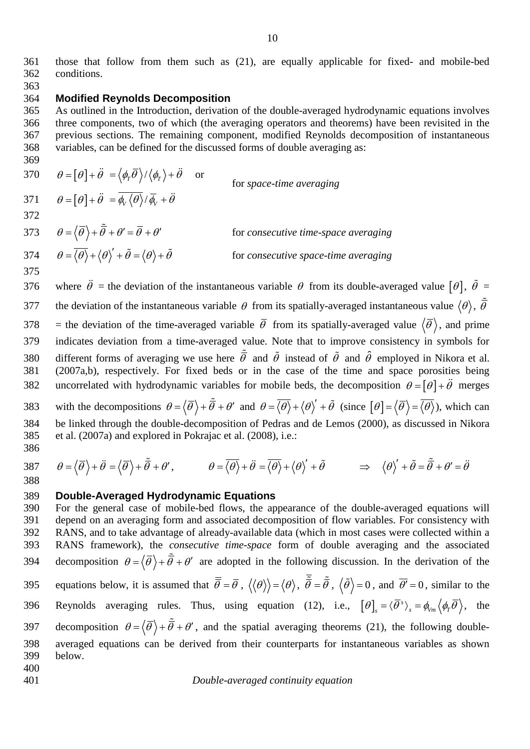#### **Modified Reynolds Decomposition**

 As outlined in the Introduction, derivation of the double-averaged hydrodynamic equations involves three components, two of which (the averaging operators and theorems) have been revisited in the previous sections. The remaining component, modified Reynolds decomposition of instantaneous variables, can be defined for the discussed forms of double averaging as:

370 
$$
\theta = [\theta] + \ddot{\theta} = \langle \phi_r \overline{\theta} \rangle / \langle \phi_r \rangle + \ddot{\theta}
$$
 or  
\n371  $\theta = [\theta] + \ddot{\theta} = \overline{\phi} \langle \theta \rangle / \overline{\phi} + \ddot{\theta}$   
\n372  $\theta = \langle \overline{\theta} \rangle + \tilde{\overline{\theta}} + \theta' = \overline{\theta} + \theta'$  for consecutive time-space averaging  
\n374  $\theta = \overline{\langle \theta \rangle} + \langle \theta \rangle' + \tilde{\theta} = \langle \theta \rangle + \tilde{\theta}$  for consecutive space-time averaging

376 where  $\ddot{\theta}$  = the deviation of the instantaneous variable  $\theta$  from its double-averaged value  $[\theta]$ ,  $\ddot{\theta}$  = 377 the deviation of the instantaneous variable  $\theta$  from its spatially-averaged instantaneous value  $\langle \theta \rangle$ ,  $\tilde{\bar{\theta}}$ 378 = the deviation of the time-averaged variable  $\bar{\theta}$  from its spatially-averaged value  $\langle \bar{\theta} \rangle$ , and prime indicates deviation from a time-averaged value. Note that to improve consistency in symbols for 380 different forms of averaging we use here  $\tilde{\bar{\theta}}$  and  $\tilde{\theta}$  instead of  $\tilde{\theta}$  and  $\hat{\theta}$  employed in Nikora et al. (2007a,b), respectively. For fixed beds or in the case of the time and space porosities being 382 uncorrelated with hydrodynamic variables for mobile beds, the decomposition  $\theta = [\theta] + \ddot{\theta}$  merges 383 with the decompositions  $\theta = \langle \overline{\theta} \rangle + \overline{\theta} + \theta'$  and  $\theta = \langle \overline{\theta} \rangle + \langle \theta' \rangle' + \overline{\theta}$  (since  $[\theta] = \langle \overline{\theta} \rangle = \langle \overline{\theta} \rangle$ ), which can be linked through the double-decomposition of Pedras and de Lemos (2000), as discussed in Nikora et al. (2007a) and explored in Pokrajac et al. (2008), i.e.:

- 
- 387  $\theta = \langle \overline{\theta} \rangle + \ddot{\theta} = \langle \overline{\theta} \rangle + \tilde{\overline{\theta}} + \theta', \qquad \theta = \langle \overline{\theta} \rangle + \ddot{\theta} = \langle \overline{\theta} \rangle + \langle \theta \rangle' + \tilde{\theta} \qquad \Rightarrow \qquad \langle \theta \rangle' + \tilde{\theta} = \tilde{\overline{\theta}} + \theta' = \ddot{\theta}$

#### **Double-Averaged Hydrodynamic Equations**

390 For the general case of mobile-bed flows, the appearance of the double-averaged equations will<br>391 depend on an averaging form and associated decomposition of flow variables. For consistency with depend on an averaging form and associated decomposition of flow variables. For consistency with RANS, and to take advantage of already-available data (which in most cases were collected within a RANS framework), the *consecutive time-space* form of double averaging and the associated 394 decomposition  $\theta = \langle \overline{\theta} \rangle + \overline{\theta} + \theta'$  are adopted in the following discussion. In the derivation of the 395 equations below, it is assumed that  $\overline{\overline{\theta}} = \overline{\theta}$ ,  $\langle \langle \theta \rangle \rangle = \langle \theta \rangle$ ,  $\overline{\overline{\hat{\theta}}} = \overline{\hat{\theta}}$ ,  $\langle \overline{\hat{\theta}} \rangle = 0$ , and  $\overline{\theta'} = 0$ , similar to the Reynolds averaging rules. Thus, using equation (12), i.e.,  $[\theta]_s = \langle \overline{\theta}^s \rangle_s = \phi_{v_m} \langle \phi_r \overline{\theta} \rangle$ , the 397 decomposition  $\theta = \langle \overline{\theta} \rangle + \overline{\theta} + \theta'$ , and the spatial averaging theorems (21), the following double- averaged equations can be derived from their counterparts for instantaneous variables as shown below. 

*Double-averaged continuity equation*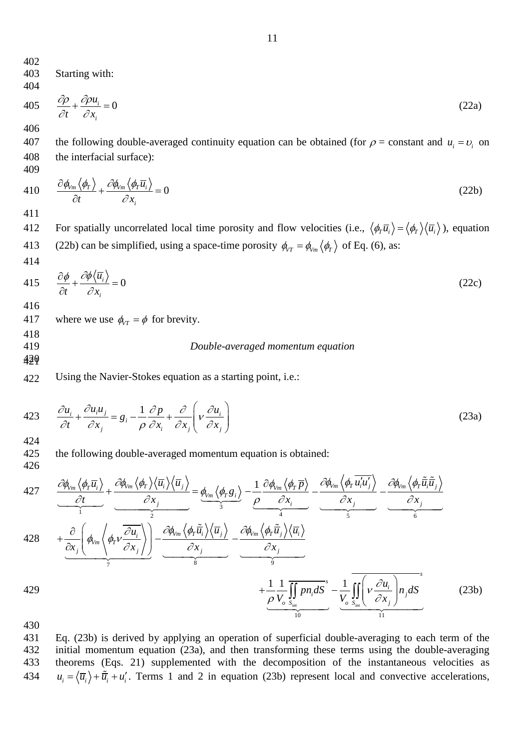402 403 Starting with: 404

$$
405 \frac{\partial \rho}{\partial t} + \frac{\partial \rho u_i}{\partial x_i} = 0 \tag{22a}
$$

407 the following double-averaged continuity equation can be obtained (for  $\rho$  = constant and  $u_i = v_i$  on 408 the interfacial surface): 409

$$
410 \qquad \frac{\partial \phi_{\nu_m} \langle \phi_r \rangle}{\partial t} + \frac{\partial \phi_{\nu_m} \langle \phi_r \overline{u}_i \rangle}{\partial x_i} = 0 \tag{22b}
$$

411

414

For spatially uncorrelated local time porosity and flow velocities (i.e.,  $\langle \phi_r \overline{u}_i \rangle = \langle \phi_r \rangle \langle \overline{u}_i \rangle$ ), equation (22b) can be simplified, using a space-time porosity  $\phi_{\text{tr}} = \phi_{\text{tm}} \langle \phi_{\text{tr}} \rangle$  of Eq. (6), as:

415 
$$
\frac{\partial \phi}{\partial t} + \frac{\partial \phi \langle \overline{u_i} \rangle}{\partial x_i} = 0
$$
 (22c)

416

418<br>419

420 421

426

417 where we use  $\phi_{\text{VT}} = \phi$  for brevity.

419 *Double-averaged momentum equation*

Using the Navier-Stokes equation as a starting point, i.e.: 422

423 
$$
\frac{\partial u_i}{\partial t} + \frac{\partial u_i u_j}{\partial x_j} = g_i - \frac{1}{\rho} \frac{\partial p}{\partial x_i} + \frac{\partial}{\partial x_j} \left( v \frac{\partial u_i}{\partial x_j} \right)
$$
(23a)  
424

### 425 the following double-averaged momentum equation is obtained:

427 
$$
\frac{\partial \phi_{\text{vm}} \langle \phi_{\text{r}} \overline{u}_{i} \rangle}{\partial t} + \frac{\partial \phi_{\text{vm}} \langle \phi_{\text{r}} \rangle \langle \overline{u}_{i} \rangle \langle \overline{u}_{i} \rangle}{\partial x_{j}} = \underbrace{\phi_{\text{vm}} \langle \phi_{\text{r}} g_{i} \rangle}_{3} - \underbrace{\frac{1}{\rho} \frac{\partial \phi_{\text{vm}} \langle \phi_{\text{r}} \overline{p} \rangle}{\partial x_{i}}}_{4} - \underbrace{\frac{\partial \phi_{\text{vm}} \langle \phi_{\text{r}} \overline{u}_{i} \overline{u}_{i} \rangle}{\partial x_{j}}}_{5} - \underbrace{\frac{\partial \phi_{\text{vm}} \langle \phi_{\text{r}} \overline{u}_{i} \overline{u}_{i} \rangle}{\partial x_{j}}}_{5}
$$
\n428 
$$
+ \underbrace{\frac{\partial}{\partial x_{j}} \left( \phi_{\text{vm}} \langle \phi_{\text{r}} v \overline{\frac{\partial u_{i}}{\partial x_{j}} \rangle} \right)}_{7} - \underbrace{\frac{\partial \phi_{\text{vm}} \langle \phi_{\text{r}} \overline{u}_{i} \rangle \langle \overline{u}_{i} \rangle}{\partial x_{j}}}_{8} - \underbrace{\frac{\partial \phi_{\text{vm}} \langle \phi_{\text{r}} \overline{u}_{i} \rangle \langle \overline{u}_{i} \rangle}{\partial x_{j}}}_{5}
$$
\n429 
$$
+ \underbrace{\frac{1}{\rho} \frac{1}{V_{o}} \frac{1}{S} \int_{S_{\text{int}}} p n_{i} dS^{s}}_{10} - \underbrace{\frac{1}{V_{o}} \int_{S_{\text{int}}} \left( v \frac{\partial u_{i}}{\partial x_{j}} \right) n_{j} dS}_{11}
$$
\n429 (23b)

430

 Eq. (23b) is derived by applying an operation of superficial double-averaging to each term of the initial momentum equation (23a), and then transforming these terms using the double-averaging theorems (Eqs. 21) supplemented with the decomposition of the instantaneous velocities as  $u_i = \langle \overline{u_i} \rangle + \overline{\tilde{u}_i} + u'_i$ . Terms 1 and 2 in equation (23b) represent local and convective accelerations,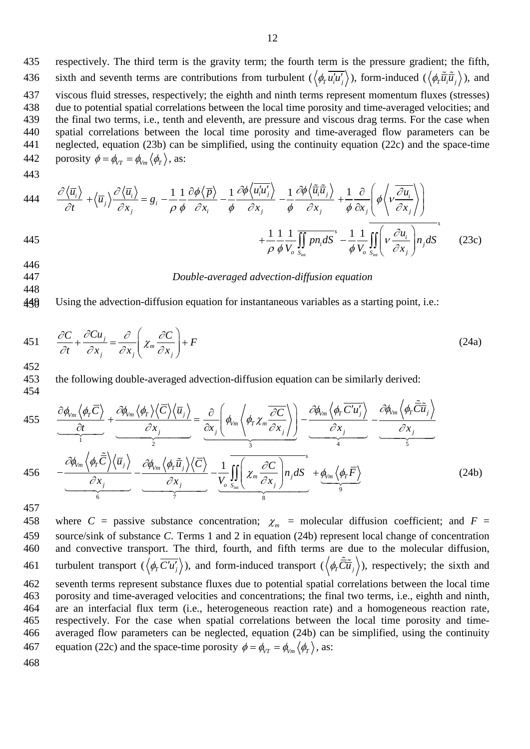435 respectively. The third term is the gravity term; the fourth term is the pressure gradient; the fifth, 436 sixth and seventh terms are contributions from turbulent  $(\langle \phi_r \overline{u'_i u'_j} \rangle)$ , form-induced  $(\langle \phi_r \overline{\tilde{u}_i \tilde{u}_j} \rangle)$ , and 437 viscous fluid stresses, respectively; the eighth and ninth terms represent momentum fluxes (stresses)<br>438 due to potential spatial correlations between the local time porosity and time-averaged velocities: and due to potential spatial correlations between the local time porosity and time-averaged velocities; and 439 the final two terms, i.e., tenth and eleventh, are pressure and viscous drag terms. For the case when 440 spatial correlations between the local time porosity and time-averaged flow parameters can be 441 neglected, equation (23b) can be simplified, using the continuity equation (22c) and the space-time 442 porosity  $\phi = \phi_{\text{VT}} = \phi_{\text{Vm}} \langle \phi_{\text{r}} \rangle$ , as:

443

444 
$$
\frac{\partial \langle \overline{u_i} \rangle}{\partial t} + \langle \overline{u_j} \rangle \frac{\partial \langle \overline{u_i} \rangle}{\partial x_j} = g_i - \frac{1}{\rho} \frac{1}{\phi} \frac{\partial \phi \langle \overline{p} \rangle}{\partial x_i} - \frac{1}{\phi} \frac{\partial \phi \langle u_i' u_j' \rangle}{\partial x_j} - \frac{1}{\phi} \frac{\partial \phi \langle \overline{\tilde{u}_i} \overline{\tilde{u}_j} \rangle}{\partial x_j} + \frac{1}{\phi} \frac{\partial}{\partial x_j} \left( \phi \langle \overline{v \frac{\partial u_i}{\partial x_j}} \rangle \right)
$$
  
445 
$$
+ \frac{1}{\rho} \frac{1}{\phi} \frac{1}{V_o} \frac{1}{\iint_{S_{\text{int}}} p n_i dS}^s - \frac{1}{\phi} \frac{1}{V_o} \frac{1}{\iint_{S_{\text{int}}} \left( v \frac{\partial u_i}{\partial x_j} \right) n_j dS}
$$
(23c)

$$
446
$$

448

#### 447 *Double-averaged advection-diffusion equation*

int  $\mathcal{L}$  int

440 Using the advection-diffusion equation for instantaneous variables as a starting point, i.e.:

451 
$$
\frac{\partial C}{\partial t} + \frac{\partial C u_j}{\partial x_j} = \frac{\partial}{\partial x_j} \left( \chi_m \frac{\partial C}{\partial x_j} \right) + F
$$
 (24a)

452

453 the following double-averaged advection-diffusion equation can be similarly derived: 454

455 
$$
\frac{\partial \phi_{\scriptscriptstyle{vm}} \langle \phi_{\scriptscriptstyle{T}} \overline{C} \rangle}{\partial t} + \frac{\partial \phi_{\scriptscriptstyle{vm}} \langle \phi_{\scriptscriptstyle{T}} \rangle \langle \overline{C} \rangle \langle \overline{u}_{\scriptscriptstyle{j}} \rangle}{\partial x_{\scriptscriptstyle{j}}} = \frac{\partial}{\partial x_{\scriptscriptstyle{j}}} \left( \phi_{\scriptscriptstyle{vm}} \langle \phi_{\scriptscriptstyle{T}} \overline{C} \overline{C} \rangle \rangle \right) - \frac{\partial \phi_{\scriptscriptstyle{vm}} \langle \phi_{\scriptscriptstyle{T}} \overline{C} u_{\scriptscriptstyle{j}} \rangle}{\partial x_{\scriptscriptstyle{j}}} - \frac{\partial \phi_{\scriptscriptstyle{vm}} \langle \phi_{\scriptscriptstyle{T}} \overline{C} \overline{u}_{\scriptscriptstyle{j}} \rangle}{\partial x_{\scriptscriptstyle{j}}} - \frac{\partial \phi_{\scriptscriptstyle{vm}} \langle \phi_{\scriptscriptstyle{T}} \overline{C} \overline{u}_{\scriptscriptstyle{j}} \rangle \langle \overline{u}_{\scriptscriptstyle{j}} \rangle}{\partial x_{\scriptscriptstyle{j}}} - \frac{\partial \phi_{\scriptscriptstyle{vm}} \langle \phi_{\scriptscriptstyle{T}} \overline{C} \rangle \langle \overline{u}_{\scriptscriptstyle{j}} \rangle}{\partial x_{\scriptscriptstyle{j}}} - \frac{\partial \phi_{\scriptscriptstyle{vm}} \langle \phi_{\scriptscriptstyle{T}} \overline{u}_{\scriptscriptstyle{j}} \rangle \langle \overline{C} \rangle}{\partial x_{\scriptscriptstyle{j}}} - \frac{1}{V_{o}} \frac{\int_{S_{\scriptscriptstyle{vm}} \setminus S} \left( \chi_{\scriptscriptstyle{m}} \frac{\partial C}{\partial x_{\scriptscriptstyle{j}}} \right) n_{\scriptscriptstyle{j}} dS}{\int_{S}} + \phi_{\scriptscriptstyle{vm}} \langle \phi_{\scriptscriptstyle{T}} \overline{F} \rangle
$$
(24b)

457

458 where *C* = passive substance concentration;  $\chi_m$  = molecular diffusion coefficient; and *F* = source/sink of substance *C*. Terms 1 and 2 in equation (24b) represent local change of concentration and convective transport. The third, fourth, and fifth terms are due to the molecular diffusion, 461 turbulent transport  $(\langle \phi_r \overline{C' u'_j} \rangle)$ , and form-induced transport  $(\langle \phi_r \overline{\tilde{C} \tilde{u}_j} \rangle)$ , respectively; the sixth and seventh terms represent substance fluxes due to potential spatial correlations between the local time porosity and time-averaged velocities and concentrations; the final two terms, i.e., eighth and ninth, are an interfacial flux term (i.e., heterogeneous reaction rate) and a homogeneous reaction rate, respectively. For the case when spatial correlations between the local time porosity and time- averaged flow parameters can be neglected, equation (24b) can be simplified, using the continuity 467 equation (22c) and the space-time porosity  $\phi = \phi_{\text{V}} = \phi_{\text{V}} / \phi_{\text{r}}$ , as: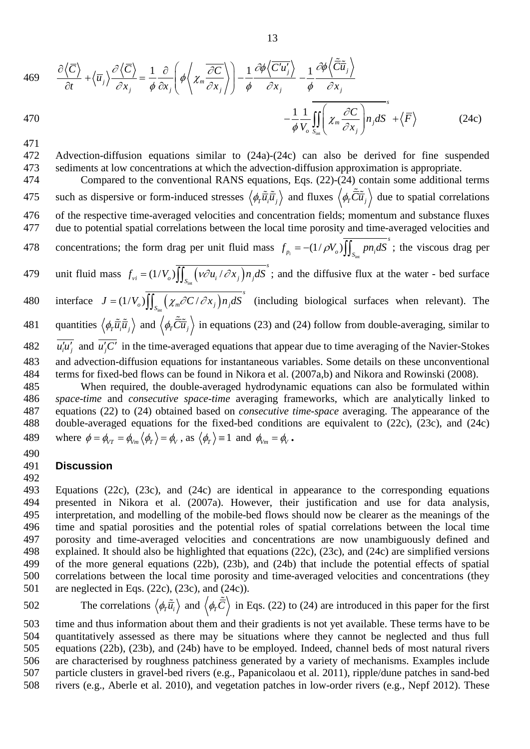469 
$$
\frac{\partial \langle \overline{C} \rangle}{\partial t} + \langle \overline{u}_j \rangle \frac{\partial \langle \overline{C} \rangle}{\partial x_j} = \frac{1}{\phi} \frac{\partial}{\partial x_j} \left( \phi \left( \chi_m \frac{\partial C}{\partial x_j} \right) \right) - \frac{1}{\phi} \frac{\partial \phi \langle \overline{C} u'_j \rangle}{\partial x_j} - \frac{1}{\phi} \frac{\partial \phi \langle \overline{\tilde{C}} \tilde{u}_j \rangle}{\partial x_j}
$$
  
470 
$$
- \frac{1}{\phi} \frac{1}{V_o} \frac{1}{S_{\text{int}}} \left( \chi_m \frac{\partial C}{\partial x_j} \right) n_j dS + \langle \overline{F} \rangle
$$
(24c)

471

472 Advection-diffusion equations similar to (24a)-(24c) can also be derived for fine suspended 473 sediments at low concentrations at which the advection-diffusion approximation is appropriate.

474 Compared to the conventional RANS equations, Eqs. (22)-(24) contain some additional terms 475 such as dispersive or form-induced stresses  $\langle \phi_r \tilde{\vec{u}}_i \tilde{\vec{u}}_j \rangle$  and fluxes  $\langle \phi_r \tilde{\vec{c}} \tilde{\vec{u}}_j \rangle$  due to spatial correlations 476 of the respective time-averaged velocities and concentration fields; momentum and substance fluxes 477 due to potential spatial correlations between the local time porosity and time-averaged velocities and 478 concentrations; the form drag per unit fluid mass  $f_{p_i} = -(1/\rho V_o) \sqrt{\int_{S_{int}} p n_i dS}$ ; the viscous drag per 479 unit fluid mass  $f_{vi} = (1/V_o) \overline{\int \int_{S_{int}} (v \partial u_i / \partial x_j) n_j dS}^s$ ; and the diffusive flux at the water - bed surface 480 interface  $J = (1/V_o) \int_{S_{int}}^{S} (\chi_m \partial C / \partial x_j) n_j dS^s$  (including biological surfaces when relevant). The 481 quantities  $\langle \phi_r \tilde{u}_i \tilde{u}_j \rangle$  and  $\langle \phi_r \tilde{C} \tilde{u}_j \rangle$  in equations (23) and (24) follow from double-averaging, similar to 482  $\overline{u'_i u'_j}$  and  $\overline{u'_j C'}$  in the time-averaged equations that appear due to time averaging of the Navier-Stokes 483 and advection-diffusion equations for instantaneous variables. Some details on these unconventional 484 terms for fixed-bed flows can be found in Nikora et al. (2007a,b) and Nikora and Rowinski (2008).

 When required, the double-averaged hydrodynamic equations can also be formulated within *space-time* and *consecutive space-time* averaging frameworks, which are analytically linked to equations (22) to (24) obtained based on *consecutive time-space* averaging. The appearance of the double-averaged equations for the fixed-bed conditions are equivalent to (22c), (23c), and (24c) 489 where  $\phi = \phi_{VT} = \phi_{\text{vm}} \langle \phi_T \rangle = \phi_{\text{v}}$ , as  $\langle \phi_T \rangle = 1$  and  $\phi_{\text{vm}} = \phi_{\text{v}}$ .

#### 491 **Discussion** 492

490

 Equations (22c), (23c), and (24c) are identical in appearance to the corresponding equations presented in Nikora et al. (2007a). However, their justification and use for data analysis, interpretation, and modelling of the mobile-bed flows should now be clearer as the meanings of the time and spatial porosities and the potential roles of spatial correlations between the local time porosity and time-averaged velocities and concentrations are now unambiguously defined and explained. It should also be highlighted that equations (22c), (23c), and (24c) are simplified versions of the more general equations (22b), (23b), and (24b) that include the potential effects of spatial correlations between the local time porosity and time-averaged velocities and concentrations (they are neglected in Eqs. (22c), (23c), and (24c)).

The correlations  $\langle \phi_r \tilde{\vec{u}}_i \rangle$  and  $\langle \phi_r \tilde{\vec{C}} \rangle$  in Eqs. (22) to (24) are introduced in this paper for the first

 time and thus information about them and their gradients is not yet available. These terms have to be quantitatively assessed as there may be situations where they cannot be neglected and thus full equations (22b), (23b), and (24b) have to be employed. Indeed, channel beds of most natural rivers are characterised by roughness patchiness generated by a variety of mechanisms. Examples include particle clusters in gravel-bed rivers (e.g., Papanicolaou et al. 2011), ripple/dune patches in sand-bed rivers (e.g., Aberle et al. 2010), and vegetation patches in low-order rivers (e.g., Nepf 2012). These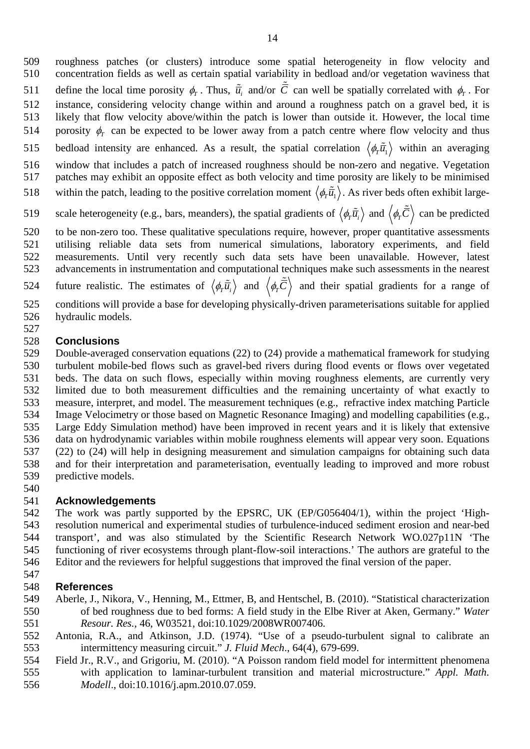- 515 bedload intensity are enhanced. As a result, the spatial correlation  $\langle \phi_r \tilde{u}_i \rangle$  within an averaging
- 
- 516 window that includes a patch of increased roughness should be non-zero and negative. Vegetation<br>517 patches may exhibit an opposite effect as both velocity and time porosity are likely to be minimised patches may exhibit an opposite effect as both velocity and time porosity are likely to be minimised
- 518 within the patch, leading to the positive correlation moment  $\langle \phi_n \tilde{u}_1 \rangle$ . As river beds often exhibit large-
- 519 scale heterogeneity (e.g., bars, meanders), the spatial gradients of  $\langle \phi_r \tilde{\bar{u}}_i \rangle$  and  $\langle \phi_r \tilde{\bar{C}} \rangle$  can be predicted
- 520 to be non-zero too. These qualitative speculations require, however, proper quantitative assessments
- 521 utilising reliable data sets from numerical simulations, laboratory experiments, and field
- 522 measurements. Until very recently such data sets have been unavailable. However, latest advancements in instrumentation and computational techniques make such assessments in the nearest advancements in instrumentation and computational techniques make such assessments in the nearest
- 524 future realistic. The estimates of  $\langle \phi_r \tilde{\overline{u}}_i \rangle$  and  $\langle \phi_r \tilde{\overline{C}} \rangle$  and their spatial gradients for a range of
- 525 conditions will provide a base for developing physically-driven parameterisations suitable for applied<br>526 hydraulic models. hydraulic models.

528 **Conclusions** 529 Double-averaged conservation equations (22) to (24) provide a mathematical framework for studying 530 turbulent mobile-bed flows such as gravel-bed rivers during flood events or flows over vegetated 531 beds. The data on such flows, especially within moving roughness elements, are currently very 532 limited due to both measurement difficulties and the remaining uncertainty of what exactly to 533 measure, interpret, and model. The measurement techniques (e.g., refractive index matching Particle 534 Image Velocimetry or those based on Magnetic Resonance Imaging) and modelling capabilities (e.g., Image Velocimetry or those based on Magnetic Resonance Imaging) and modelling capabilities (e.g., 535 Large Eddy Simulation method) have been improved in recent years and it is likely that extensive<br>536 data on hydrodynamic variables within mobile roughness elements will appear very soon. Equations data on hydrodynamic variables within mobile roughness elements will appear very soon. Equations 537 (22) to (24) will help in designing measurement and simulation campaigns for obtaining such data 538 and for their interpretation and parameterisation, eventually leading to improved and more robust predictive models. predictive models.

540

527

541 **Acknowledgements**<br>542 The work was partly s The work was partly supported by the EPSRC, UK (EP/G056404/1), within the project 'High-543 resolution numerical and experimental studies of turbulence-induced sediment erosion and near-bed 544 transport', and was also stimulated by the Scientific Research Network WO.027p11N 'The functioning of river ecosystems through plant-flow-soil interactions.' The authors are grateful to the functioning of river ecosystems through plant-flow-soil interactions.' The authors are grateful to the 546 Editor and the reviewers for helpful suggestions that improved the final version of the paper.

- 548 **References** 549 Aberle, J., Nikora, V., Henning, M., Ettmer, B, and Hentschel, B. (2010). "Statistical characterization 550 of bed roughness due to bed forms: A field study in the Elbe River at Aken, Germany." *Water*  551 *Resour. Res.*, 46, W03521, doi:10.1029/2008WR007406.
- 552 Antonia, R.A., and Atkinson, J.D. (1974). "Use of a pseudo-turbulent signal to calibrate an 553 intermittency measuring circuit." *J. Fluid Mech*., 64(4), 679-699.
- 554 Field Jr., R.V., and Grigoriu, M. (2010). "A Poisson random field model for intermittent phenomena 555 with application to laminar-turbulent transition and material microstructure." *Appl. Math.*  556 *Modell*., doi:10.1016/j.apm.2010.07.059.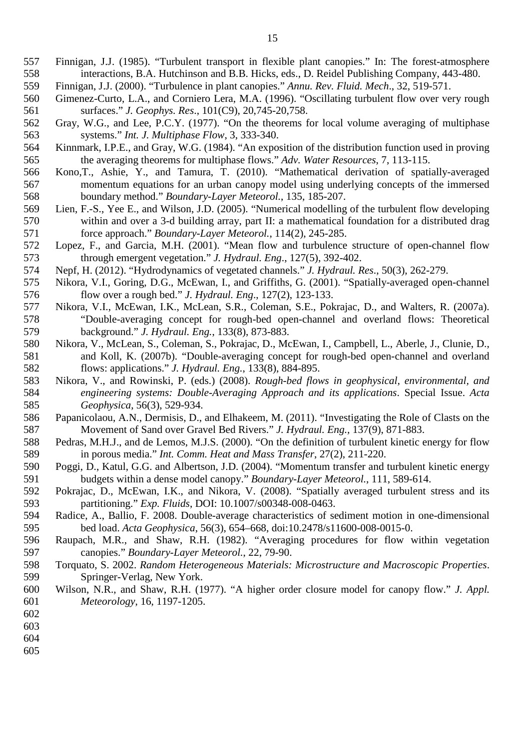- 557 Finnigan, J.J. (1985). "Turbulent transport in flexible plant canopies." In: The forest-atmosphere 558 interactions, B.A. Hutchinson and B.B. Hicks, eds., D. Reidel Publishing Company, 443-480.<br>559 Finnigan, J.J. (2000). "Turbulence in plant canopies." Annu. Rev. Fluid. Mech., 32, 519-571.
- 559 Finnigan, J.J. (2000). "Turbulence in plant canopies." *Annu. Rev. Fluid. Mech*., 32, 519-571.
- Gimenez-Curto, L.A., and Corniero Lera, M.A. (1996). "Oscillating turbulent flow over very rough 561 surfaces." *J. Geophys. Res.*, 101(C9), 20,745-20,758.<br>562 Gray, W.G., and Lee, P.C.Y. (1977). "On the theorems f
- 562 Gray, W.G., and Lee, P.C.Y. (1977). "On the theorems for local volume averaging of multiphase 563 systems." *Int. J. Multiphase Flow*, 3, 333-340.
- 564 Kinnmark, I.P.E., and Gray, W.G. (1984). "An exposition of the distribution function used in proving<br>565 the averaging theorems for multiphase flows." Adv. Water Resources, 7, 113-115. 565 the averaging theorems for multiphase flows." *Adv. Water Resources*, 7, 113-115.<br>566 Kono, T., Ashie, Y., and Tamura, T. (2010). "Mathematical derivation of spati
- 566 Kono,T., Ashie, Y., and Tamura, T. (2010). "Mathematical derivation of spatially-averaged 567 momentum equations for an urban canopy model using underlying concepts of the immersed<br>568 boundary method." Boundary-Layer Meteorol., 135, 185-207. 568 boundary method." *Boundary-Layer Meteorol.*, 135, 185-207.
- 569 Lien, F.-S., Yee E., and Wilson, J.D. (2005). "Numerical modelling of the turbulent flow developing 570 within and over a 3-d building array, part II: a mathematical foundation for a distributed drag<br>571 force approach." *Boundary-Layer Meteorol.*, 114(2), 245-285. force approach." *Boundary-Layer Meteorol.*, 114(2), 245-285.
- 572 Lopez, F., and Garcia, M.H. (2001). "Mean flow and turbulence structure of open-channel flow<br>573 through emergent vegetation." J. Hydraul. Eng., 127(5), 392-402. 573 through emergent vegetation." *J. Hydraul. Eng.*, 127(5), 392-402.<br>574 Nepf. H. (2012). "Hydrodynamics of vegetated channels." *J. Hydraul. K*
- 574 Nepf, H. (2012). "Hydrodynamics of vegetated channels." *J. Hydraul. Res*., 50(3), 262-279.
- 575 Nikora, V.I., Goring, D.G., McEwan, I., and Griffiths, G. (2001). "Spatially-averaged open-channel flow over a rough bed." *J. Hydraul. Eng.*, 127(2), 123-133. 576 flow over a rough bed." *J. Hydraul. Eng*., 127(2), 123-133.
- 577 Nikora, V.I., McEwan, I.K., McLean, S.R., Coleman, S.E., Pokrajac, D., and Walters, R. (2007a). 578 "Double-averaging concept for rough-bed open-channel and overland flows: Theoretical<br>579 background." J. Hydraul. Eng., 133(8), 873-883. 579 background." *J. Hydraul. Eng.*, 133(8), 873-883.
- 580 Nikora, V., McLean, S., Coleman, S., Pokrajac, D., McEwan, I., Campbell, L., Aberle, J., Clunie, D., and Koll, K. (2007b). "Double-averaging concept for rough-bed open-channel and overland 581 and Koll, K. (2007b). "Double-averaging concept for rough-bed open-channel and overland flows: applications." J. Hydraul. Eng., 133(8), 884-895. 582 flows: applications." *J. Hydraul. Eng.*, 133(8), 884-895.
- 583 Nikora, V., and Rowinski, P. (eds.) (2008). *Rough-bed flows in geophysical, environmental, and*  584 *engineering systems: Double-Averaging Approach and its applications*. Special Issue. *Acta*  585 *Geophysica*, 56(3), 529-934.
- Papanicolaou, A.N., Dermisis, D., and Elhakeem, M. (2011). "Investigating the Role of Clasts on the 587 Movement of Sand over Gravel Bed Rivers." *J. Hydraul. Eng.,* 137(9), 871-883.
- 588 Pedras, M.H.J., and de Lemos, M.J.S. (2000). "On the definition of turbulent kinetic energy for flow<br>589 in porous media." *Int. Comm. Heat and Mass Transfer*, 27(2), 211-220. 589 in porous media." *Int. Comm. Heat and Mass Transfer*, 27(2), 211-220.<br>590 Poggi, D., Katul, G.G. and Albertson, J.D. (2004). "Momentum transfer and the
- 590 Poggi, D., Katul, G.G. and Albertson, J.D. (2004). "Momentum transfer and turbulent kinetic energy<br>591 budgets within a dense model canopy." Boundary-Layer Meteorol., 111, 589-614. 591 budgets within a dense model canopy." *Boundary-Layer Meteorol.*, 111, 589-614.
- 592 Pokrajac, D., McEwan, I.K., and Nikora, V. (2008). "Spatially averaged turbulent stress and its partitioning." *Exp. Fluids*, DOI: 10.1007/s00348-008-0463. 593 partitioning." *Exp. Fluids*, DOI: 10.1007/s00348-008-0463.<br>594 Radice, A., Ballio, F. 2008. Double-average characteristics of se
- Radice, A., Ballio, F. 2008. Double-average characteristics of sediment motion in one-dimensional 595 bed load. *Acta Geophysica*, 56(3), 654–668, doi:10.2478/s11600-008-0015-0.
- 596 Raupach, M.R., and Shaw, R.H. (1982). "Averaging procedures for flow within vegetation 597 canopies." *Boundary-Layer Meteorol.*, 22, 79-90.
- 598 Torquato, S. 2002. *Random Heterogeneous Materials: Microstructure and Macroscopic Properties*. Springer-Verlag, New York.
- 600 Wilson, N.R., and Shaw, R.H. (1977). "A higher order closure model for canopy flow." *J. Appl.*  601 *Meteorology*, 16, 1197-1205.
- 602
- 603
- 604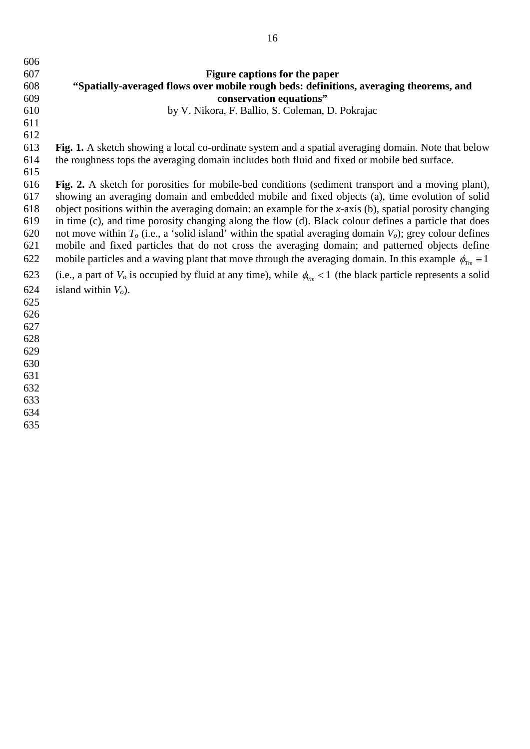606<br>607 **Figure captions for the paper "Spatially-averaged flows over mobile rough beds: definitions, averaging theorems, and conservation equations"**  by V. Nikora, F. Ballio, S. Coleman, D. Pokrajac **Fig. 1.** A sketch showing a local co-ordinate system and a spatial averaging domain. Note that below the roughness tops the averaging domain includes both fluid and fixed or mobile bed surface. **Fig. 2.** A sketch for porosities for mobile-bed conditions (sediment transport and a moving plant), showing an averaging domain and embedded mobile and fixed objects (a), time evolution of solid object positions within the averaging domain: an example for the *x*-axis (b), spatial porosity changing 619 in time (c), and time porosity changing along the flow (d). Black colour defines a particle that does not move within  $T_0$  (i.e., a 'solid island' within the spatial averaging domain  $V_0$ ); grey colour defines not move within  $T<sub>o</sub>$  (i.e., a 'solid island' within the spatial averaging domain  $V<sub>o</sub>$ ); grey colour defines mobile and fixed particles that do not cross the averaging domain; and patterned objects define 622 mobile particles and a waving plant that move through the averaging domain. In this example  $\phi_{T_m} = 1$ (i.e., a part of  $V_o$  is occupied by fluid at any time), while  $\phi_{V_m}$  < 1 (the black particle represents a solid island within *Vo*).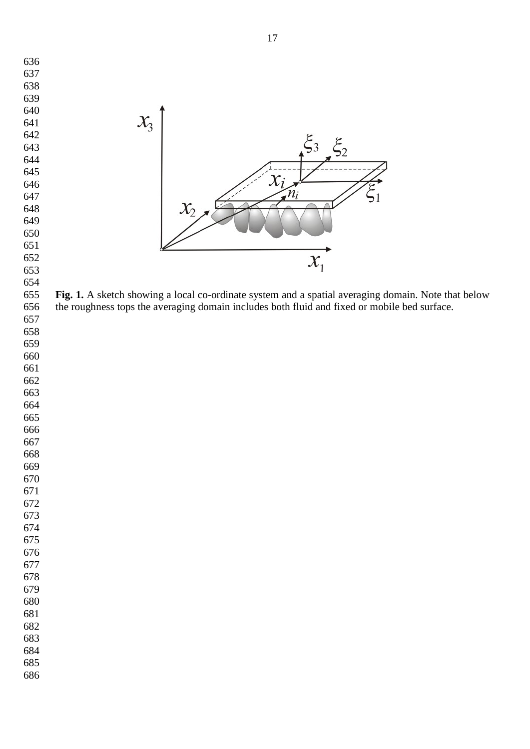